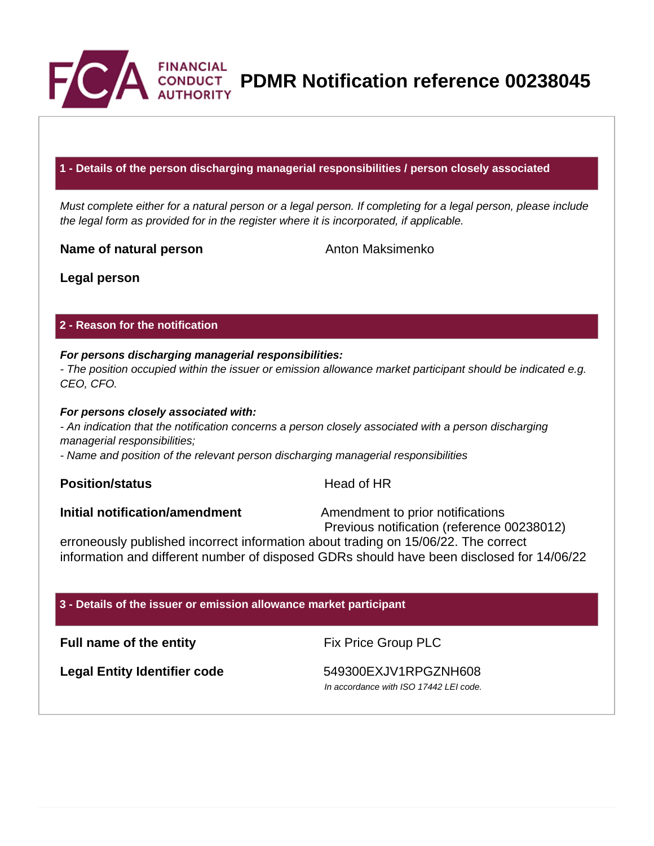

**PDMR Notification reference 00238045**

## **1 - Details of the person discharging managerial responsibilities / person closely associated**

Must complete either for a natural person or a legal person. If completing for a legal person, please include the legal form as provided for in the register where it is incorporated, if applicable.

**Name of natural person** Anton Maksimenko

**Legal person**

## **2 - Reason for the notification**

## **For persons discharging managerial responsibilities:**

- The position occupied within the issuer or emission allowance market participant should be indicated e.g. CEO, CFO.

## **For persons closely associated with:**

- An indication that the notification concerns a person closely associated with a person discharging managerial responsibilities;

- Name and position of the relevant person discharging managerial responsibilities

## **Position/status Head of HR**

**Initial notification/amendment** Amendment to prior notifications

Previous notification (reference 00238012)

erroneously published incorrect information about trading on 15/06/22. The correct information and different number of disposed GDRs should have been disclosed for 14/06/22

## **3 - Details of the issuer or emission allowance market participant**

**Full name of the entity** Fix Price Group PLC

Legal Entity Identifier code 549300EXJV1RPGZNH608

In accordance with ISO 17442 LEI code.